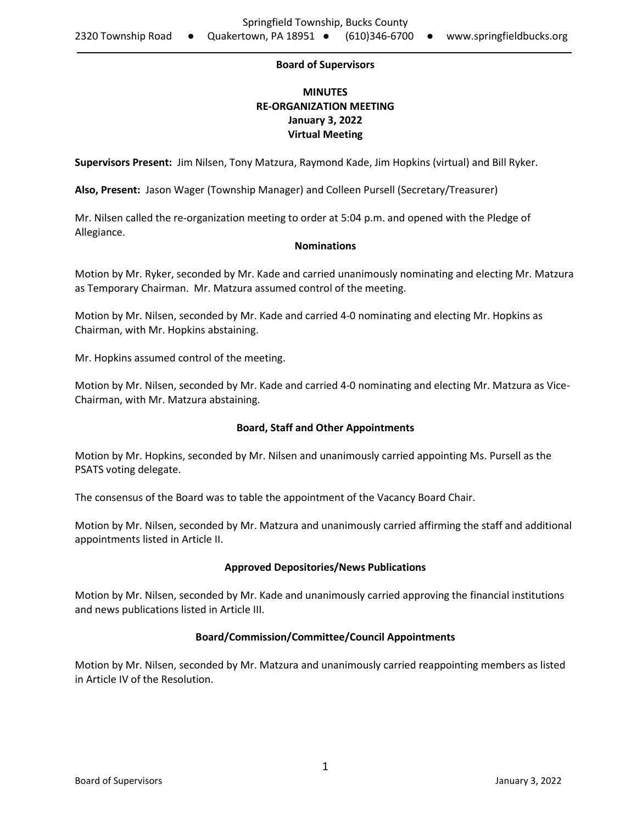#### **Board of Supervisors**

# **MINUTES RE-ORGANIZATION MEETING January 3, 2022 Virtual Meeting**

**Supervisors Present:** Jim Nilsen, Tony Matzura, Raymond Kade, Jim Hopkins (virtual) and Bill Ryker.

**Also, Present:** Jason Wager (Township Manager) and Colleen Pursell (Secretary/Treasurer)

Mr. Nilsen called the re-organization meeting to order at 5:04 p.m. and opened with the Pledge of Allegiance.

## **Nominations**

Motion by Mr. Ryker, seconded by Mr. Kade and carried unanimously nominating and electing Mr. Matzura as Temporary Chairman. Mr. Matzura assumed control of the meeting.

Motion by Mr. Nilsen, seconded by Mr. Kade and carried 4-0 nominating and electing Mr. Hopkins as Chairman, with Mr. Hopkins abstaining.

Mr. Hopkins assumed control of the meeting.

Motion by Mr. Nilsen, seconded by Mr. Kade and carried 4-0 nominating and electing Mr. Matzura as Vice-Chairman, with Mr. Matzura abstaining.

#### **Board, Staff and Other Appointments**

Motion by Mr. Hopkins, seconded by Mr. Nilsen and unanimously carried appointing Ms. Pursell as the PSATS voting delegate.

The consensus of the Board was to table the appointment of the Vacancy Board Chair.

Motion by Mr. Nilsen, seconded by Mr. Matzura and unanimously carried affirming the staff and additional appointments listed in Article II.

#### **Approved Depositories/News Publications**

Motion by Mr. Nilsen, seconded by Mr. Kade and unanimously carried approving the financial institutions and news publications listed in Article III.

#### **Board/Commission/Committee/Council Appointments**

Motion by Mr. Nilsen, seconded by Mr. Matzura and unanimously carried reappointing members as listed in Article IV of the Resolution.